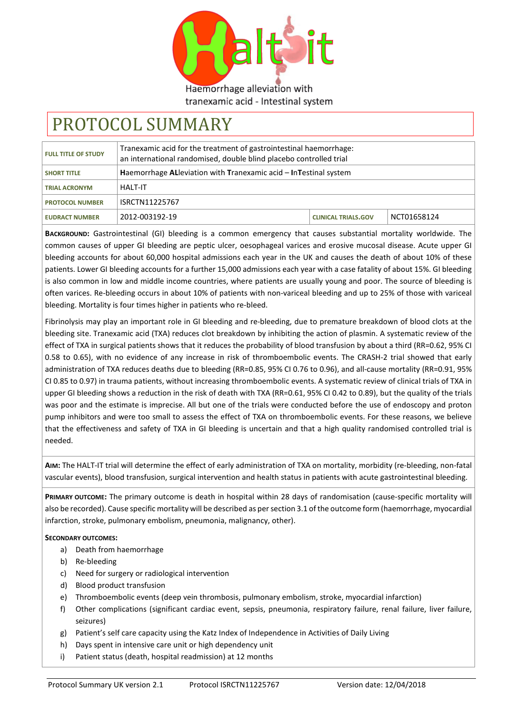

Haemorrhage alleviation with tranexamic acid - Intestinal system

# PROTOCOL SUMMARY

| <b>FULL TITLE OF STUDY</b> | Tranexamic acid for the treatment of gastrointestinal haemorrhage:<br>an international randomised, double blind placebo controlled trial |                            |             |
|----------------------------|------------------------------------------------------------------------------------------------------------------------------------------|----------------------------|-------------|
| <b>SHORT TITLE</b>         | Haemorrhage AL leviation with Tranexamic acid – In Testinal system                                                                       |                            |             |
| <b>TRIAL ACRONYM</b>       | <b>HALT-IT</b>                                                                                                                           |                            |             |
| <b>PROTOCOL NUMBER</b>     | ISRCTN11225767                                                                                                                           |                            |             |
| <b>EUDRACT NUMBER</b>      | 2012-003192-19                                                                                                                           | <b>CLINICAL TRIALS.GOV</b> | NCT01658124 |

**BACKGROUND:** Gastrointestinal (GI) bleeding is a common emergency that causes substantial mortality worldwide. The common causes of upper GI bleeding are peptic ulcer, oesophageal varices and erosive mucosal disease. Acute upper GI bleeding accounts for about 60,000 hospital admissions each year in the UK and causes the death of about 10% of these patients. Lower GI bleeding accounts for a further 15,000 admissions each year with a case fatality of about 15%. GI bleeding is also common in low and middle income countries, where patients are usually young and poor. The source of bleeding is often varices. Re-bleeding occurs in about 10% of patients with non-variceal bleeding and up to 25% of those with variceal bleeding. Mortality is four times higher in patients who re-bleed.

Fibrinolysis may play an important role in GI bleeding and re-bleeding, due to premature breakdown of blood clots at the bleeding site. Tranexamic acid (TXA) reduces clot breakdown by inhibiting the action of plasmin. A systematic review of the effect of TXA in surgical patients shows that it reduces the probability of blood transfusion by about a third (RR=0.62, 95% CI 0.58 to 0.65), with no evidence of any increase in risk of thromboembolic events. The CRASH-2 trial showed that early administration of TXA reduces deaths due to bleeding (RR=0.85, 95% CI 0.76 to 0.96), and all-cause mortality (RR=0.91, 95% CI 0.85 to 0.97) in trauma patients, without increasing thromboembolic events. A systematic review of clinical trials of TXA in upper GI bleeding shows a reduction in the risk of death with TXA (RR=0.61, 95% CI 0.42 to 0.89), but the quality of the trials was poor and the estimate is imprecise. All but one of the trials were conducted before the use of endoscopy and proton pump inhibitors and were too small to assess the effect of TXA on thromboembolic events. For these reasons, we believe that the effectiveness and safety of TXA in GI bleeding is uncertain and that a high quality randomised controlled trial is needed.

**AIM:** The HALT-IT trial will determine the effect of early administration of TXA on mortality, morbidity (re-bleeding, non-fatal vascular events), blood transfusion, surgical intervention and health status in patients with acute gastrointestinal bleeding.

**PRIMARY OUTCOME:** The primary outcome is death in hospital within 28 days of randomisation (cause-specific mortality will also be recorded). Cause specific mortality will be described as per section 3.1 of the outcome form (haemorrhage, myocardial infarction, stroke, pulmonary embolism, pneumonia, malignancy, other).

# **SECONDARY OUTCOMES:**

- a) Death from haemorrhage
- b) Re-bleeding
- c) Need for surgery or radiological intervention
- d) Blood product transfusion
- e) Thromboembolic events (deep vein thrombosis, pulmonary embolism, stroke, myocardial infarction)
- f) Other complications (significant cardiac event, sepsis, pneumonia, respiratory failure, renal failure, liver failure, seizures)
- g) Patient's self care capacity using the Katz Index of Independence in Activities of Daily Living
- h) Days spent in intensive care unit or high dependency unit
- i) Patient status (death, hospital readmission) at 12 months